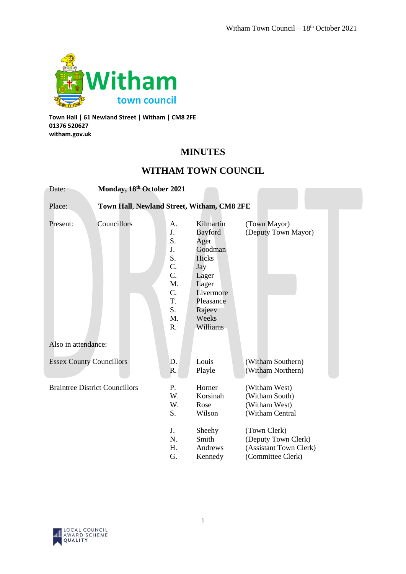

**Town Hall | 61 Newland Street | Witham | CM8 2FE 01376 520627 witham.gov.uk**

# **MINUTES**

# **WITHAM TOWN COUNCIL**

| Date:                                                | Monday, 18th October 2021 |                                                                            |                                                                                                                                           |                                                                                                            |  |
|------------------------------------------------------|---------------------------|----------------------------------------------------------------------------|-------------------------------------------------------------------------------------------------------------------------------------------|------------------------------------------------------------------------------------------------------------|--|
| Town Hall, Newland Street, Witham, CM8 2FE<br>Place: |                           |                                                                            |                                                                                                                                           |                                                                                                            |  |
| Present:                                             | Councillors               | A.<br>J.<br>S.<br>J.<br>S.<br>C.<br>C.<br>M.<br>C.<br>T.<br>S.<br>M.<br>R. | Kilmartin<br><b>Bayford</b><br>Ager<br>Goodman<br>Hicks<br>Jay<br>Lager<br>Lager<br>Livermore<br>Pleasance<br>Rajeev<br>Weeks<br>Williams | (Town Mayor)<br>(Deputy Town Mayor)                                                                        |  |
| Also in attendance:                                  |                           |                                                                            |                                                                                                                                           |                                                                                                            |  |
| <b>Essex County Councillors</b>                      |                           | D.<br>R.                                                                   | Louis<br>Playle                                                                                                                           | (Witham Southern)<br>(Witham Northern)                                                                     |  |
| <b>Braintree District Councillors</b>                |                           | P.<br>W.<br>W.<br>S.<br>J.<br>N.                                           | Horner<br>Korsinah<br>Rose<br>Wilson<br>Sheehy<br>Smith                                                                                   | (Witham West)<br>(Witham South)<br>(Witham West)<br>(Witham Central<br>(Town Clerk)<br>(Deputy Town Clerk) |  |
|                                                      |                           | H.<br>G.                                                                   | Andrews<br>Kennedy                                                                                                                        | (Assistant Town Clerk)<br>(Committee Clerk)                                                                |  |

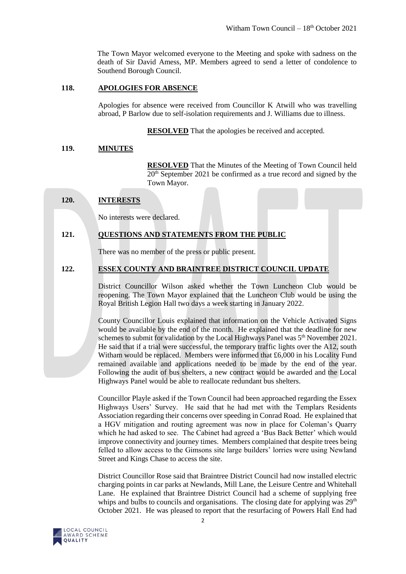The Town Mayor welcomed everyone to the Meeting and spoke with sadness on the death of Sir David Amess, MP. Members agreed to send a letter of condolence to Southend Borough Council.

# **118. APOLOGIES FOR ABSENCE**

Apologies for absence were received from Councillor K Atwill who was travelling abroad, P Barlow due to self-isolation requirements and J. Williams due to illness.

**RESOLVED** That the apologies be received and accepted.

# **119. MINUTES**

**RESOLVED** That the Minutes of the Meeting of Town Council held 20th September 2021 be confirmed as a true record and signed by the Town Mayor.

# **120. INTERESTS**

No interests were declared.

# **121. QUESTIONS AND STATEMENTS FROM THE PUBLIC**

There was no member of the press or public present.

# **122. ESSEX COUNTY AND BRAINTREE DISTRICT COUNCIL UPDATE**

District Councillor Wilson asked whether the Town Luncheon Club would be reopening. The Town Mayor explained that the Luncheon Club would be using the Royal British Legion Hall two days a week starting in January 2022.

County Councillor Louis explained that information on the Vehicle Activated Signs would be available by the end of the month. He explained that the deadline for new schemes to submit for validation by the Local Highways Panel was 5<sup>th</sup> November 2021. He said that if a trial were successful, the temporary traffic lights over the A12, south Witham would be replaced. Members were informed that £6,000 in his Locality Fund remained available and applications needed to be made by the end of the year. Following the audit of bus shelters, a new contract would be awarded and the Local Highways Panel would be able to reallocate redundant bus shelters.

Councillor Playle asked if the Town Council had been approached regarding the Essex Highways Users' Survey. He said that he had met with the Templars Residents Association regarding their concerns over speeding in Conrad Road. He explained that a HGV mitigation and routing agreement was now in place for Coleman's Quarry which he had asked to see. The Cabinet had agreed a 'Bus Back Better' which would improve connectivity and journey times. Members complained that despite trees being felled to allow access to the Gimsons site large builders' lorries were using Newland Street and Kings Chase to access the site.

District Councillor Rose said that Braintree District Council had now installed electric charging points in car parks at Newlands, Mill Lane, the Leisure Centre and Whitehall Lane. He explained that Braintree District Council had a scheme of supplying free whips and bulbs to councils and organisations. The closing date for applying was  $29<sup>th</sup>$ October 2021. He was pleased to report that the resurfacing of Powers Hall End had

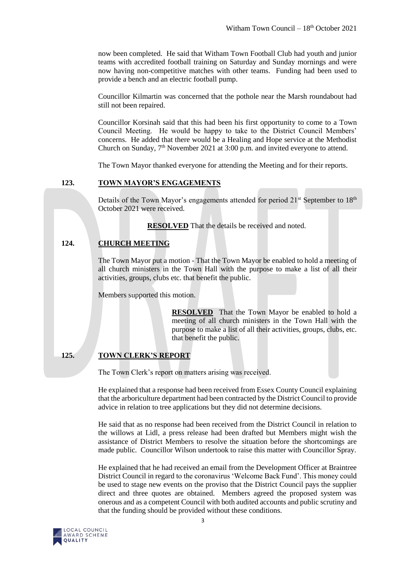now been completed. He said that Witham Town Football Club had youth and junior teams with accredited football training on Saturday and Sunday mornings and were now having non-competitive matches with other teams. Funding had been used to provide a bench and an electric football pump.

Councillor Kilmartin was concerned that the pothole near the Marsh roundabout had still not been repaired.

Councillor Korsinah said that this had been his first opportunity to come to a Town Council Meeting. He would be happy to take to the District Council Members' concerns. He added that there would be a Healing and Hope service at the Methodist Church on Sunday,  $7<sup>th</sup>$  November 2021 at 3:00 p.m. and invited everyone to attend.

The Town Mayor thanked everyone for attending the Meeting and for their reports.

# **123. TOWN MAYOR'S ENGAGEMENTS**

Details of the Town Mayor's engagements attended for period 21<sup>st</sup> September to 18<sup>th</sup> October 2021 were received.

**RESOLVED** That the details be received and noted.

# **124. CHURCH MEETING**

The Town Mayor put a motion - That the Town Mayor be enabled to hold a meeting of all church ministers in the Town Hall with the purpose to make a list of all their activities, groups, clubs etc. that benefit the public.

Members supported this motion.

**RESOLVED** That the Town Mayor be enabled to hold a meeting of all church ministers in the Town Hall with the purpose to make a list of all their activities, groups, clubs, etc. that benefit the public.

# **125. TOWN CLERK'S REPORT**

The Town Clerk's report on matters arising was received.

He explained that a response had been received from Essex County Council explaining that the arboriculture department had been contracted by the District Council to provide advice in relation to tree applications but they did not determine decisions.

He said that as no response had been received from the District Council in relation to the willows at Lidl, a press release had been drafted but Members might wish the assistance of District Members to resolve the situation before the shortcomings are made public. Councillor Wilson undertook to raise this matter with Councillor Spray.

He explained that he had received an email from the Development Officer at Braintree District Council in regard to the coronavirus 'Welcome Back Fund'. This money could be used to stage new events on the proviso that the District Council pays the supplier direct and three quotes are obtained. Members agreed the proposed system was onerous and as a competent Council with both audited accounts and public scrutiny and that the funding should be provided without these conditions.

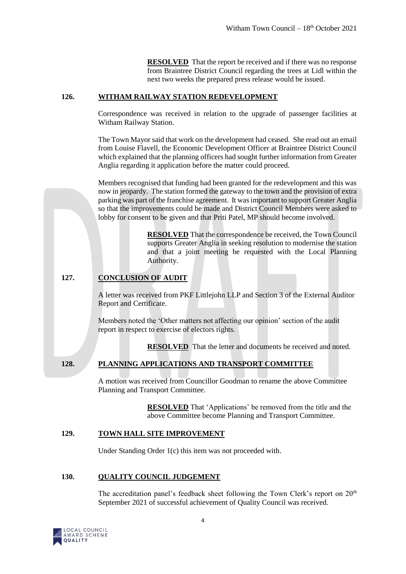**RESOLVED** That the report be received and if there was no response from Braintree District Council regarding the trees at Lidl within the next two weeks the prepared press release would be issued.

# **126. WITHAM RAILWAY STATION REDEVELOPMENT**

Correspondence was received in relation to the upgrade of passenger facilities at Witham Railway Station.

The Town Mayor said that work on the development had ceased. She read out an email from Louise Flavell, the Economic Development Officer at Braintree District Council which explained that the planning officers had sought further information from Greater Anglia regarding it application before the matter could proceed.

Members recognised that funding had been granted for the redevelopment and this was now in jeopardy. The station formed the gateway to the town and the provision of extra parking was part of the franchise agreement. It was important to support Greater Anglia so that the improvements could be made and District Council Members were asked to lobby for consent to be given and that Priti Patel, MP should become involved.

> **RESOLVED** That the correspondence be received, the Town Council supports Greater Anglia in seeking resolution to modernise the station and that a joint meeting be requested with the Local Planning Authority.

# **127. CONCLUSION OF AUDIT**

A letter was received from PKF Littlejohn LLP and Section 3 of the External Auditor Report and Certificate.

Members noted the 'Other matters not affecting our opinion' section of the audit report in respect to exercise of electors rights.

**RESOLVED** That the letter and documents be received and noted.

# **128. PLANNING APPLICATIONS AND TRANSPORT COMMITTEE**

A motion was received from Councillor Goodman to rename the above Committee Planning and Transport Committee.

> **RESOLVED** That 'Applications' be removed from the title and the above Committee become Planning and Transport Committee.

## **129. TOWN HALL SITE IMPROVEMENT**

Under Standing Order 1(c) this item was not proceeded with.

## **130. QUALITY COUNCIL JUDGEMENT**

The accreditation panel's feedback sheet following the Town Clerk's report on  $20<sup>th</sup>$ September 2021 of successful achievement of Quality Council was received.

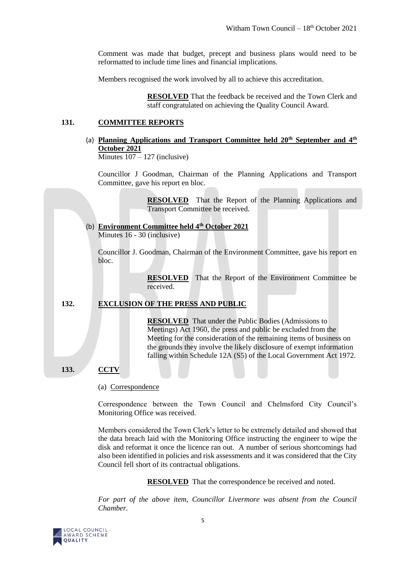Comment was made that budget, precept and business plans would need to be reformatted to include time lines and financial implications.

Members recognised the work involved by all to achieve this accreditation.

**RESOLVED** That the feedback be received and the Town Clerk and staff congratulated on achieving the Quality Council Award.

# **131. COMMITTEE REPORTS**

(a) **Planning Applications and Transport Committee held 20th September and 4th October 2021** Minutes  $107 - 127$  (inclusive)

Councillor J Goodman, Chairman of the Planning Applications and Transport Committee, gave his report en bloc.

> **RESOLVED** That the Report of the Planning Applications and Transport Committee be received.

(b) **Environment Committee held 4th October 2021** Minutes 16 - 30 (inclusive)

Councillor J. Goodman, Chairman of the Environment Committee, gave his report en bloc.

> **RESOLVED** That the Report of the Environment Committee be received.

# **132. EXCLUSION OF THE PRESS AND PUBLIC**

**RESOLVED** That under the Public Bodies (Admissions to Meetings) Act 1960, the press and public be excluded from the Meeting for the consideration of the remaining items of business on the grounds they involve the likely disclosure of exempt information falling within Schedule 12A (S5) of the Local Government Act 1972.

## **133. CCTV**

(a) Correspondence

Correspondence between the Town Council and Chelmsford City Council's Monitoring Office was received.

Members considered the Town Clerk's letter to be extremely detailed and showed that the data breach laid with the Monitoring Office instructing the engineer to wipe the disk and reformat it once the licence ran out. A number of serious shortcomings had also been identified in policies and risk assessments and it was considered that the City Council fell short of its contractual obligations.

**RESOLVED** That the correspondence be received and noted.

For part of the above item, Councillor Livermore was absent from the Council *Chamber.*

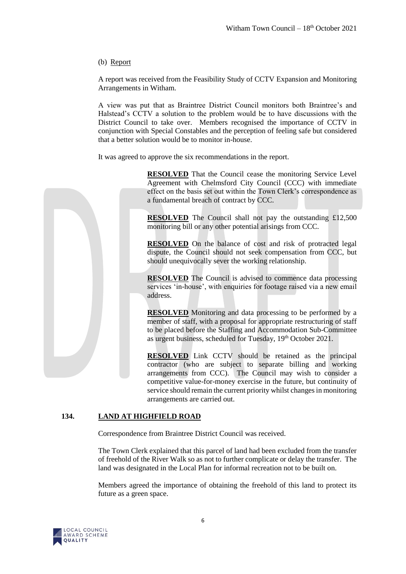# (b) Report

A report was received from the Feasibility Study of CCTV Expansion and Monitoring Arrangements in Witham.

A view was put that as Braintree District Council monitors both Braintree's and Halstead's CCTV a solution to the problem would be to have discussions with the District Council to take over. Members recognised the importance of CCTV in conjunction with Special Constables and the perception of feeling safe but considered that a better solution would be to monitor in-house.

It was agreed to approve the six recommendations in the report.



**RESOLVED** That the Council cease the monitoring Service Level Agreement with Chelmsford City Council (CCC) with immediate effect on the basis set out within the Town Clerk's correspondence as a fundamental breach of contract by CCC.

**RESOLVED** The Council shall not pay the outstanding £12,500 monitoring bill or any other potential arisings from CCC.

**RESOLVED** On the balance of cost and risk of protracted legal dispute, the Council should not seek compensation from CCC, but should unequivocally sever the working relationship.

**RESOLVED** The Council is advised to commence data processing services 'in-house', with enquiries for footage raised via a new email address.

**RESOLVED** Monitoring and data processing to be performed by a member of staff, with a proposal for appropriate restructuring of staff to be placed before the Staffing and Accommodation Sub-Committee as urgent business, scheduled for Tuesday, 19<sup>th</sup> October 2021.

**RESOLVED** Link CCTV should be retained as the principal contractor (who are subject to separate billing and working arrangements from CCC). The Council may wish to consider a competitive value-for-money exercise in the future, but continuity of service should remain the current priority whilst changes in monitoring arrangements are carried out.

# **134. LAND AT HIGHFIELD ROAD**

Correspondence from Braintree District Council was received.

The Town Clerk explained that this parcel of land had been excluded from the transfer of freehold of the River Walk so as not to further complicate or delay the transfer. The land was designated in the Local Plan for informal recreation not to be built on.

Members agreed the importance of obtaining the freehold of this land to protect its future as a green space.